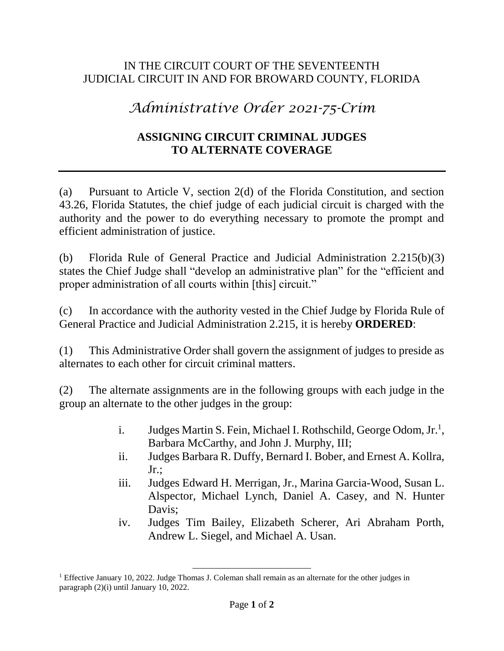## IN THE CIRCUIT COURT OF THE SEVENTEENTH JUDICIAL CIRCUIT IN AND FOR BROWARD COUNTY, FLORIDA

## *Administrative Order 2021-75-Crim*

## **ASSIGNING CIRCUIT CRIMINAL JUDGES TO ALTERNATE COVERAGE**

(a) Pursuant to Article V, section 2(d) of the Florida Constitution, and section 43.26, Florida Statutes, the chief judge of each judicial circuit is charged with the authority and the power to do everything necessary to promote the prompt and efficient administration of justice.

(b) Florida Rule of General Practice and Judicial Administration 2.215(b)(3) states the Chief Judge shall "develop an administrative plan" for the "efficient and proper administration of all courts within [this] circuit."

(c) In accordance with the authority vested in the Chief Judge by Florida Rule of General Practice and Judicial Administration 2.215, it is hereby **ORDERED**:

(1) This Administrative Order shall govern the assignment of judges to preside as alternates to each other for circuit criminal matters.

(2) The alternate assignments are in the following groups with each judge in the group an alternate to the other judges in the group:

- i. Judges Martin S. Fein, Michael I. Rothschild, George Odom, Jr.<sup>1</sup>, Barbara McCarthy, and John J. Murphy, III;
- ii. Judges Barbara R. Duffy, Bernard I. Bober, and Ernest A. Kollra,  $Jr$ .:
- iii. Judges Edward H. Merrigan, Jr., Marina Garcia-Wood, Susan L. Alspector, Michael Lynch, Daniel A. Casey, and N. Hunter Davis;
- iv. Judges Tim Bailey, Elizabeth Scherer, Ari Abraham Porth, Andrew L. Siegel, and Michael A. Usan.

 $\overline{a}$ 

<sup>&</sup>lt;sup>1</sup> Effective January 10, 2022. Judge Thomas J. Coleman shall remain as an alternate for the other judges in paragraph (2)(i) until January 10, 2022.